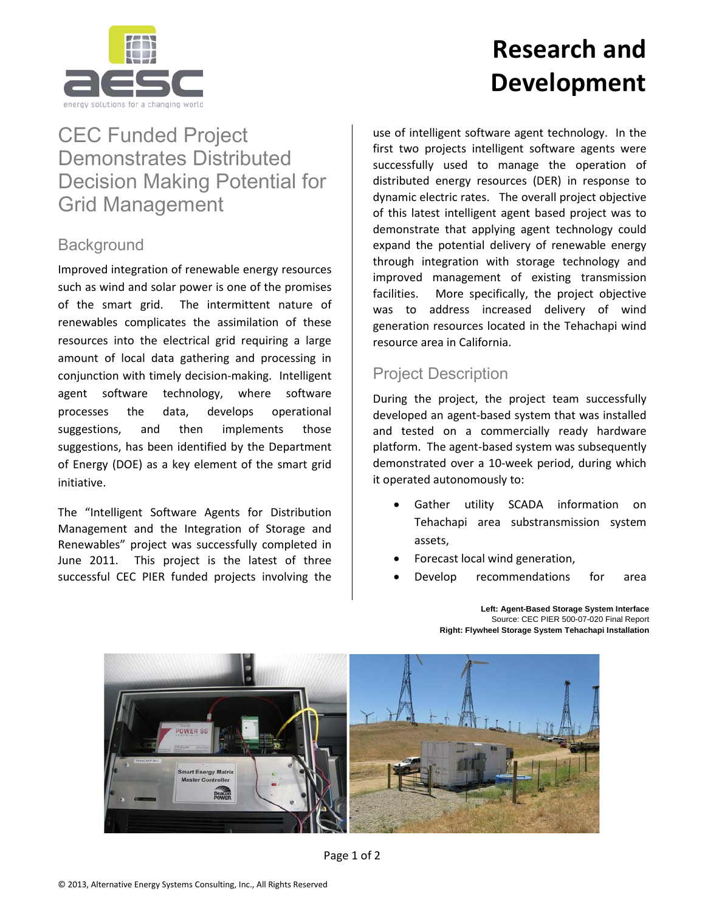

# **Research and Development**

## CEC Funded Project Demonstrates Distributed Decision Making Potential for Grid Management

### **Background**

Improved integration of renewable energy resources such as wind and solar power is one of the promises of the smart grid. The intermittent nature of renewables complicates the assimilation of these resources into the electrical grid requiring a large amount of local data gathering and processing in conjunction with timely decision-making. Intelligent agent software technology, where software processes the data, develops operational suggestions, and then implements those suggestions, has been identified by the Department of Energy (DOE) as a key element of the smart grid initiative.

The "Intelligent Software Agents for Distribution Management and the Integration of Storage and Renewables" project was successfully completed in June 2011. This project is the latest of three successful CEC PIER funded projects involving the

use of intelligent software agent technology. In the first two projects intelligent software agents were successfully used to manage the operation of distributed energy resources (DER) in response to dynamic electric rates. The overall project objective of this latest intelligent agent based project was to demonstrate that applying agent technology could expand the potential delivery of renewable energy through integration with storage technology and improved management of existing transmission facilities. More specifically, the project objective was to address increased delivery of wind generation resources located in the Tehachapi wind resource area in California.

### Project Description

During the project, the project team successfully developed an agent-based system that was installed and tested on a commercially ready hardware platform. The agent-based system was subsequently demonstrated over a 10-week period, during which it operated autonomously to:

- Gather utility SCADA information on Tehachapi area substransmission system assets,
- Forecast local wind generation,
- Develop recommendations for area



**Left: Agent-Based Storage System Interface** Source: CEC PIER 500-07-020 Final Report **Right: Flywheel Storage System Tehachapi Installation**

Page 1 of 2